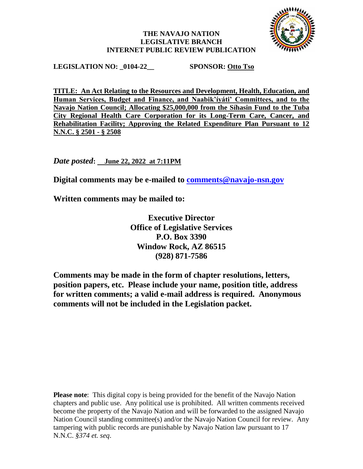### **THE NAVAJO NATION LEGISLATIVE BRANCH INTERNET PUBLIC REVIEW PUBLICATION**



**LEGISLATION NO: \_0104-22\_\_ SPONSOR: Otto Tso**

**TITLE: An Act Relating to the Resources and Development, Health, Education, and Human Services, Budget and Finance, and Naabik'íyáti' Committees, and to the Navajo Nation Council; Allocating \$25,000,000 from the Síhasin Fund to the Tuba City Regional Health Care Corporation for its Long-Term Care, Cancer, and Rehabilitation Facility; Approving the Related Expenditure Plan Pursuant to 12 N.N.C. § 2501 - § 2508**

*Date posted***: June 22, 2022 at 7:11PM**

**Digital comments may be e-mailed to [comments@navajo-nsn.gov](mailto:comments@navajo-nsn.gov?subject=0104-22)**

**Written comments may be mailed to:**

**Executive Director Office of Legislative Services P.O. Box 3390 Window Rock, AZ 86515 (928) 871-7586**

**Comments may be made in the form of chapter resolutions, letters, position papers, etc. Please include your name, position title, address for written comments; a valid e-mail address is required. Anonymous comments will not be included in the Legislation packet.**

**Please note**: This digital copy is being provided for the benefit of the Navajo Nation chapters and public use. Any political use is prohibited. All written comments received become the property of the Navajo Nation and will be forwarded to the assigned Navajo Nation Council standing committee(s) and/or the Navajo Nation Council for review. Any tampering with public records are punishable by Navajo Nation law pursuant to 17 N.N.C. *§374 et. seq*.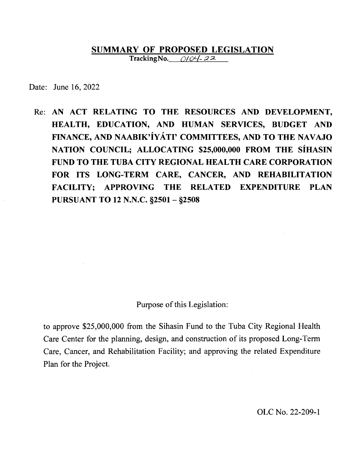#### **SUMMARY OF PROPOSED LEGISLATION Tracking No.** 0104-22

Date: June 16, 2022

Re: **AN ACT RELATING TO THE RESOURCES AND DEVELOPMENT, HEALTH, EDUCATION, AND HUMAN SERVICES, BUDGET AND FINANCE, AND NAABIK'IYATI' COMMITTEES, AND TO THE NAVAJO NATION COUNCIL; ALLOCATING \$25,000,000 FROM THE SiHASIN FUND TO THE TUBA CITY REGIONAL HEALTH CARE CORPORATION FOR ITS LONG-TERM CARE, CANCER, AND REHABILITATION FACILITY; APPROVING THE RELATED EXPENDITURE PLAN PURSUANT TO 12 N.N.C. §2501-§2508** 

Purpose of this Legislation:

to approve \$25,000,000 from the Sihasin Fund to the Tuba City Regional Health Care Center for the planning, design, and construction of its proposed Long-Term Care, Cancer, and Rehabilitation Facility; and approving the related Expenditure Plan for the Project.

OLC No. 22-209-1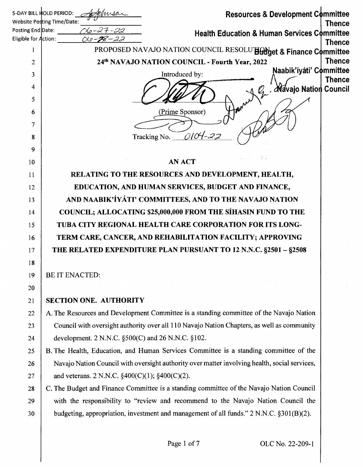|                      | 5-DAY BILL HOLD PERIOD:<br>Resources & Development Committee<br>Admsar                                     |  |
|----------------------|------------------------------------------------------------------------------------------------------------|--|
|                      | Website Posting Time/Date:<br><b>Thence</b>                                                                |  |
| Eligible for Action: | 06-27-22<br>Posting End Date:<br><b>Health Education &amp; Human Services Committee</b><br>$010 - 28 - 22$ |  |
| 1                    | <b>Thence</b><br>PROPOSED NAVAJO NATION COUNCIL RESOLUTE and & Finance Committee                           |  |
| 2                    | <b>Thence</b><br>24th NAVAJO NATION COUNCIL - Fourth Year, 2022                                            |  |
| 3                    | Naabik'íyáti' Committee<br>Introduced by:                                                                  |  |
| 4                    | <b>Thence</b><br>. Navajo Nation Council                                                                   |  |
| 5                    |                                                                                                            |  |
| 6                    | (Prime Sponsor)                                                                                            |  |
| $\overline{7}$       |                                                                                                            |  |
| 8                    | Tracking No. $\angle$ 0104-22                                                                              |  |
| 9                    |                                                                                                            |  |
| 10                   | <b>AN ACT</b>                                                                                              |  |
| 11                   | RELATING TO THE RESOURCES AND DEVELOPMENT, HEALTH,                                                         |  |
| 12                   | EDUCATION, AND HUMAN SERVICES, BUDGET AND FINANCE,                                                         |  |
| 13                   | AND NAABIK'ÍYÁTI' COMMITTEES, AND TO THE NAVAJO NATION                                                     |  |
| 14                   | <b>COUNCIL; ALLOCATING \$25,000,000 FROM THE SÍHASIN FUND TO THE</b>                                       |  |
| 15                   | TUBA CITY REGIONAL HEALTH CARE CORPORATION FOR ITS LONG-                                                   |  |
| 16                   | TERM CARE, CANCER, AND REHABILITATION FACILITY; APPROVING                                                  |  |
| 17                   | THE RELATED EXPENDITURE PLAN PURSUANT TO 12 N.N.C. §2501 - §2508                                           |  |
| 18                   |                                                                                                            |  |
| 19                   | <b>BE IT ENACTED:</b>                                                                                      |  |
| 20                   |                                                                                                            |  |
| 21                   | <b>SECTION ONE. AUTHORITY</b>                                                                              |  |
| 22                   | A. The Resources and Development Committee is a standing committee of the Navajo Nation                    |  |
| 23                   | Council with oversight authority over all 110 Navajo Nation Chapters, as well as community                 |  |
| 24                   | development. 2 N.N.C. $\S500(C)$ and 26 N.N.C. $\S102$ .                                                   |  |
| 25                   | B. The Health, Education, and Human Services Committee is a standing committee of the                      |  |
| 26                   | Navajo Nation Council with oversight authority over matter involving health, social services,              |  |
| 27                   | and veterans. 2 N.N.C. $\S400(C)(1)$ ; $\S400(C)(2)$ .                                                     |  |
| 28                   | C. The Budget and Finance Committee is a standing committee of the Navajo Nation Council                   |  |
| 29                   | with the responsibility to "review and recommend to the Navajo Nation Council the                          |  |
| 30                   | budgeting, appropriation, investment and management of all funds." 2 N.N.C. §301(B)(2).                    |  |
|                      |                                                                                                            |  |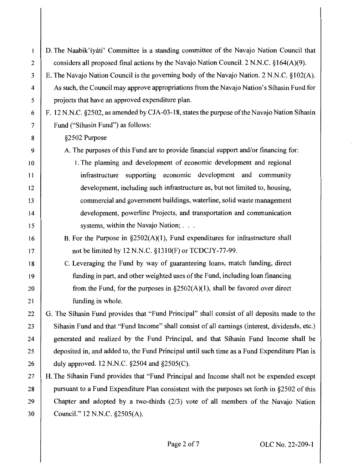| 1  | D. The Naabik'iyáti' Committee is a standing committee of the Navajo Nation Council that      |
|----|-----------------------------------------------------------------------------------------------|
| 2  | considers all proposed final actions by the Navajo Nation Council. 2 N.N.C. §164(A)(9).       |
| 3  | E. The Navajo Nation Council is the governing body of the Navajo Nation. 2 N.N.C. §102(A).    |
| 4  | As such, the Council may approve appropriations from the Navajo Nation's Sihasin Fund for     |
| 5  | projects that have an approved expenditure plan.                                              |
| 6  | F. 12 N.N.C. §2502, as amended by CJA-03-18, states the purpose of the Navajo Nation Síhasin  |
| 7  | Fund ("Sihasin Fund") as follows:                                                             |
| 8  | §2502 Purpose                                                                                 |
| 9  | A. The purposes of this Fund are to provide financial support and/or financing for:           |
| 10 | 1. The planning and development of economic development and regional                          |
| 11 | infrastructure supporting economic development and community                                  |
| 12 | development, including such infrastructure as, but not limited to, housing,                   |
| 13 | commercial and government buildings, waterline, solid waste management                        |
| 14 | development, powerline Projects, and transportation and communication                         |
| 15 | systems, within the Navajo Nation;                                                            |
| 16 | B. For the Purpose in $\S2502(A)(1)$ , Fund expenditures for infrastructure shall             |
| 17 | not be limited by 12 N.N.C. §1310(F) or TCDCJY-77-99.                                         |
| 18 | C. Leveraging the Fund by way of guaranteeing loans, match funding, direct                    |
| 19 | funding in part, and other weighted uses of the Fund, including loan financing                |
| 20 | from the Fund, for the purposes in $\S2502(A)(1)$ , shall be favored over direct              |
| 21 | funding in whole.                                                                             |
| 22 | G. The Sihasin Fund provides that "Fund Principal" shall consist of all deposits made to the  |
| 23 | Sihasin Fund and that "Fund Income" shall consist of all earnings (interest, dividends, etc.) |
| 24 | generated and realized by the Fund Principal, and that Sihasin Fund Income shall be           |
| 25 | deposited in, and added to, the Fund Principal until such time as a Fund Expenditure Plan is  |
| 26 | duly approved. 12 N.N.C. §2504 and §2505(C).                                                  |
| 27 | H. The Síhasin Fund provides that "Fund Principal and Income shall not be expended except     |
| 28 | pursuant to a Fund Expenditure Plan consistent with the purposes set forth in §2502 of this   |
| 29 | Chapter and adopted by a two-thirds $(2/3)$ vote of all members of the Navajo Nation          |
| 30 | Council." 12 N.N.C. §2505(A).                                                                 |
|    |                                                                                               |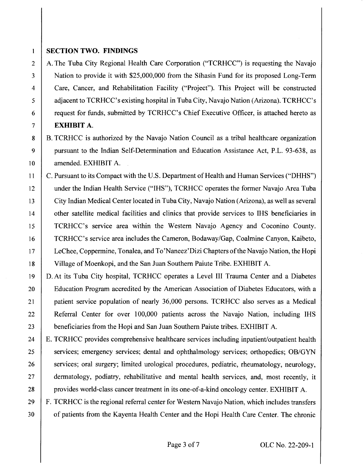### **SECTION TWO. FINDINGS**

 $\mathbf{1}$ 

2 A. The Tuba City Regional Health Care Corporation ("TCRHCC") is requesting the Navajo 3 Nation to provide it with \$25,000,000 from the Sihasin Fund for its proposed Long-Term 4 Care, Cancer, and Rehabilitation Facility ("Project"). This Project will be constructed 5 adjacent to TCRHCC's existing hospital in Tuba City, Navajo Nation (Arizona). TCRHCC's 6 **request for funds, submitted by TCRHCC's Chief Executive Officer, is attached hereto as** 7 **EXHIBIT A.** 

8 B. TCRHCC is authorized by the Navajo Nation Council as a tribal healthcare organization 9 | pursuant to the Indian Self-Determination and Education Assistance Act, P.L. 93-638, as 10 amended. EXHIBIT A.

11 | C. Pursuant to its Compact with the U.S. Department of Health and Human Services ("DHHS") 12 under the Indian Health Service ("IHS"), TCRHCC operates the former Navajo Area Tuba 13 City Indian Medical Center located in Tuba City, Navajo Nation (Arizona), as well as several 14 other satellite medical facilities and clinics that provide services to IHS beneficiaries in 15 TCRHCC's service area within the Western Navajo Agency and Coconino County. 16 TCRHCC's service area includes the Cameron, Bodaway/Gap, Coalmine Canyon, Kaibeto, 17 LeChee, Coppermine, Tonalea, and To'Naneez'Dizi Chapters of the Navajo Nation, the Hopi 18 Village of Moenkopi, and the San Juan Southern Paiute Tribe. EXHIBIT A.

19 D. At its Tuba City hospital, TCRHCC operates a Level III Trauma Center and a Diabetes 20 | Education Program accredited by the American Association of Diabetes Educators, with a 21 | patient service population of nearly 36,000 persons. TCRHCC also serves as a Medical 22 Referral Center for over 100,000 patients across the Navajo Nation, including IHS 23 beneficiaries from the Hopi and San Juan Southern Paiute tribes. EXHIBIT A.

24 E. TCRHCC provides comprehensive healthcare services including inpatient/outpatient health 25 services; emergency services; dental and ophthalmology services; orthopedics; OB/GYN 26 services; oral surgery; limited urological procedures, pediatric, rheumatology, neurology, 27 dermatology, podiatry, rehabilitative and mental health services, and, most recently, it 28 | provides world-class cancer treatment in its one-of-a-kind oncology center. EXHIBIT A.

29 F. TCRHCC is the regional referral center for Western Navajo Nation, which includes transfers 30 of patients from the Kayenta Health Center and the Hopi Health Care Center. The chronic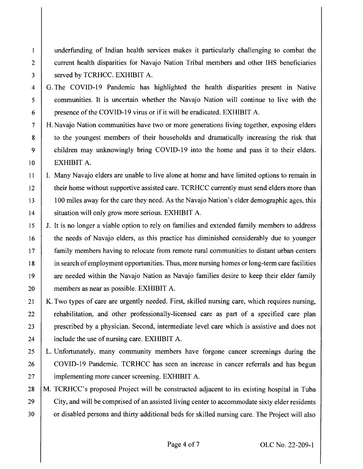1 underfunding of Indian health services makes it particularly challenging to combat the 2 current health disparities for Navajo Nation Tribal members and other IHS beneficiaries 3 Served by TCRHCC. EXHIBIT A.

4 G. The COVID-19 Pandemic has highlighted the health disparities present in Native 5 communities. It is uncertain whether the Navajo Nation will continue to live with the 6 presence of the COVID-19 virus or if it will be eradicated. EXHIBIT A.

- 7 H. Navajo Nation communities have two or more generations living together, exposing elders 8 to the youngest members of their households and dramatically increasing the risk that 9 children may unknowingly bring COVID-19 into the home and pass it to their elders. IO EXHIBIT A.
- 11 I. Many Navajo elders are unable to live alone at home and have limited options to remain in 12 their home without supportive assisted care. TCRHCC currently must send elders more than 13 100 miles away for the care they need. As the Navajo Nation's elder demographic ages, this 14 | situation will only grow more serious. EXHIBIT A.
- 15 J. It is no longer a viable option to rely on families and extended family members to address 16 the needs of Navajo elders, as this practice has diminished considerably due to younger 17 family members having to relocate from remote rural communities to distant urban centers 18 in search of employment opportunities. Thus, more nursing homes or long-term care facilities 19 are needed within the Navajo Nation as Navajo families desire to keep their elder family 20 members as near as possible. EXHIBIT A.
- 21 | K. Two types of care are urgently needed. First, skilled nursing care, which requires nursing, 22 rehabilitation, and other professionally-licensed care as part of a specified care plan 23 prescribed by a physician. Second, intermediate level care which is assistive and does not 24 | include the use of nursing care. EXHIBIT A.
- 25 L. Unfortunately, many community members have forgone cancer screenings during the 26 COVID-19 Pandemic. TCRHCC has seen an increase in cancer referrals and has begun 27 | implementing more cancer screening. EXHIBIT A.
- 28 | M. TCRHCC's proposed Project will be constructed adjacent to its existing hospital in Tuba 29 City, and will be comprised of an assisted living center to accommodate sixty elder residents 30 or disabled persons and thirty additional beds for skilled nursing care. The Project will also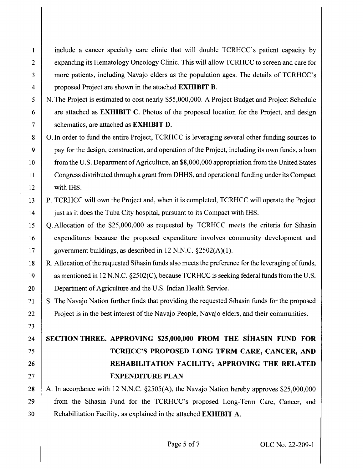include a cancer specialty care clinic that will double TCRHCC's patient capacity by 2 expanding its Hematology Oncology Clinic. This will allow TCRHCC to screen and care for 3 more patients, including Navajo elders as the population ages. The details of TCRHCC's 4 proposed Project are shown in the attached **EXHIBIT B.** 

5 N. The Project is estimated to cost nearly \$55,000,000. A Project Budget and Project Schedule 6 are attached as **EXHIBIT C.** Photos of the proposed location for the Project, and design 7 schematics, are attached as **EXHIBIT D.** 

8 | O. In order to fund the entire Project, TCRHCC is leveraging several other funding sources to 9 **pay for the design, construction, and operation of the Project, including its own funds, a loan** 10 from the U.S. Department of Agriculture, an \$8,000,000 appropriation from the United States 11 Congress distributed through a grant from DHHS, and operational funding under its Compact 12 with IHS.

- 13 P. TCRHCC will own the Project and, when it is completed, TCRHCC will operate the Project 14 just as it does the Tuba City hospital, pursuant to its Compact with IHS.
- 15 | Q. Allocation of the \$25,000,000 as requested by TCRHCC meets the criteria for Sihasin 16 expenditures because the proposed expenditure involves community development and 17 | government buildings, as described in  $12 \text{ N.N.C. } §2502(\text{A})(1)$ .

18 | R. Allocation of the requested Sihasin funds also meets the preference for the leveraging of funds, 19 as mentioned in 12 N.N.C. §2502(C), because TCRHCC is seeking federal funds from the U.S. 20 Department of Agriculture and the U.S. Indian Health Service.

21 S. The Navajo Nation further finds that providing the requested Sihasin funds for the proposed 22 Project is in the best interest of the Navajo People, Navajo elders, and their communities.

23

 $\mathbf{1}$ 

# 24 **SECTION THREE. APPROVING \$25,000,000 FROM THE SIHASIN FUND FOR**  25 **TCRHCC'S PROPOSED LONG TERM CARE, CANCER, AND**  26 **REHABILITATION FACILITY; APPROVING THE RELATED**  27 **EXPENDITURE PLAN**

28 A. In accordance with 12 N.N.C.  $\S2505(A)$ , the Navajo Nation hereby approves \$25,000,000 29 from the Sihasin Fund for the TCRHCC's proposed Long-Term Care, Cancer, and 30 Rehabilitation Facility, as explained in the attached **EXHIBIT A.**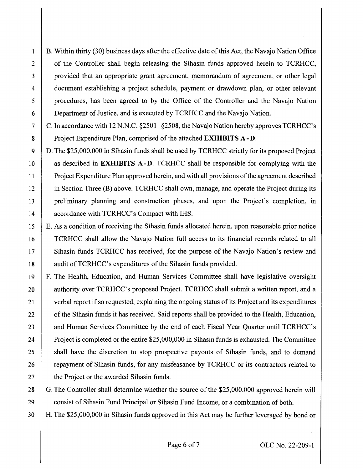B. Within thirty (30) business days after the effective date of this Act, the Navajo Nation Office 2 of the Controller shall begin releasing the Sihasin funds approved herein to TCRHCC, 3 provided that an appropriate grant agreement, memorandum of agreement, or other legal 4 document establishing a project schedule, payment or drawdown plan, or other relevant 5 procedures, has been agreed to by the Office of the Controller and the Navajo Nation 6 Department of Justice, and is executed by TCRHCC and the Navajo Nation.

 $\mathbf{1}$ 

7  $\mid$  C. In accordance with 12 N.N.C. §2501–§2508, the Navajo Nation hereby approves TCRHCC's 8 Project Expenditure Plan, comprised of the attached **EXHIBITS A-D.** 

9 D. The \$25,000,000 in Sihasin funds shall be used by TCRHCC strictly for its proposed Project 10 **as described in EXHIBITS A-D.** TCRHCC shall be responsible for complying with the 11 Project Expenditure Plan approved herein, and with all provisions of the agreement described 12 in Section Three (B) above. TCRHCC shall own, manage, and operate the Project during its 13 preliminary planning and construction phases, and upon the Project's completion, in 14 **ccordance with TCRHCC's Compact with IHS.** 

15 E. As a condition of receiving the Sihasin funds allocated herein, upon reasonable prior notice 16 TCRHCC shall allow the Navajo Nation full access to its financial records related to all 17 Sihasin funds TCRHCC has received, for the purpose of the Navajo Nation's review and 18 | audit of TCRHCC's expenditures of the Sihasin funds provided.

19 F. The Health, Education, and Human Services Committee shall have legislative oversight 20 authority over TCRHCC's proposed Project. TCRHCC shall submit a written report, and a 21 verbal report if so requested, explaining the ongoing status of its Project and its expenditures 22 of the Sihasin funds it has received. Said reports shall be provided to the Health, Education, 23 and Human Services Committee by the end of each Fiscal Year Quarter until TCRHCC's 24 Project is completed or the entire \$25,000,000 in Sihasin funds is exhausted. The Committee 25 | shall have the discretion to stop prospective payouts of Sihasin funds, and to demand 26 **repayment of Sihasin funds, for any misfeasance by TCRHCC or its contractors related to** 27 **the Project or the awarded Sihasin funds.** 

28 G. The Controller shall determine whether the source of the \$25,000,000 approved herein will 29 consist of Sihasin Fund Principal or Sihasin Fund Income, or a combination of both.

30 H. The \$25,000,000 in Sihasin funds approved in this Act may be further leveraged by bond or